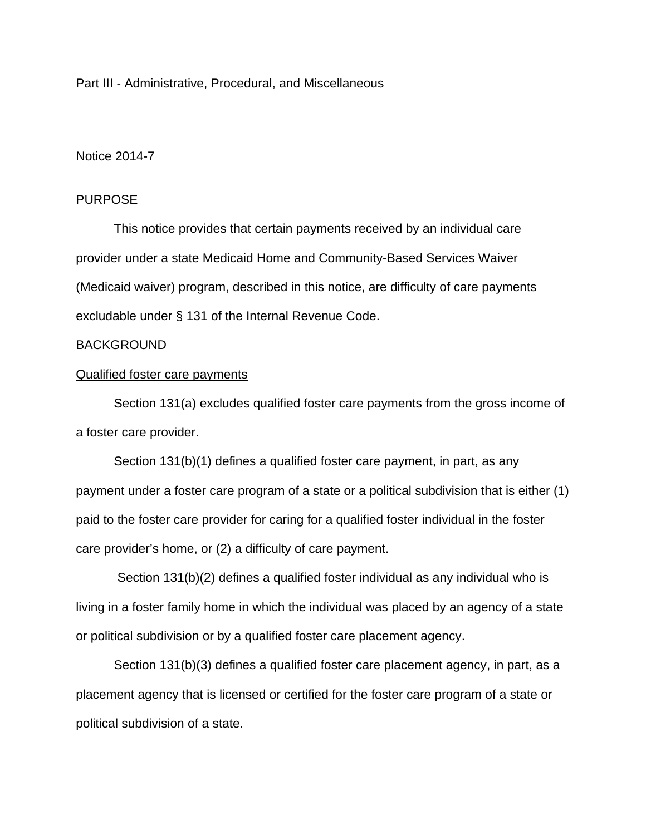Part III - Administrative, Procedural, and Miscellaneous

# Notice 2014-7

## PURPOSE

This notice provides that certain payments received by an individual care provider under a state Medicaid Home and Community-Based Services Waiver (Medicaid waiver) program, described in this notice, are difficulty of care payments excludable under § 131 of the Internal Revenue Code.

### BACKGROUND

### Qualified foster care payments

Section 131(a) excludes qualified foster care payments from the gross income of a foster care provider.

Section 131(b)(1) defines a qualified foster care payment, in part, as any payment under a foster care program of a state or a political subdivision that is either (1) paid to the foster care provider for caring for a qualified foster individual in the foster care provider's home, or (2) a difficulty of care payment.

 Section 131(b)(2) defines a qualified foster individual as any individual who is living in a foster family home in which the individual was placed by an agency of a state or political subdivision or by a qualified foster care placement agency.

Section 131(b)(3) defines a qualified foster care placement agency, in part, as a placement agency that is licensed or certified for the foster care program of a state or political subdivision of a state.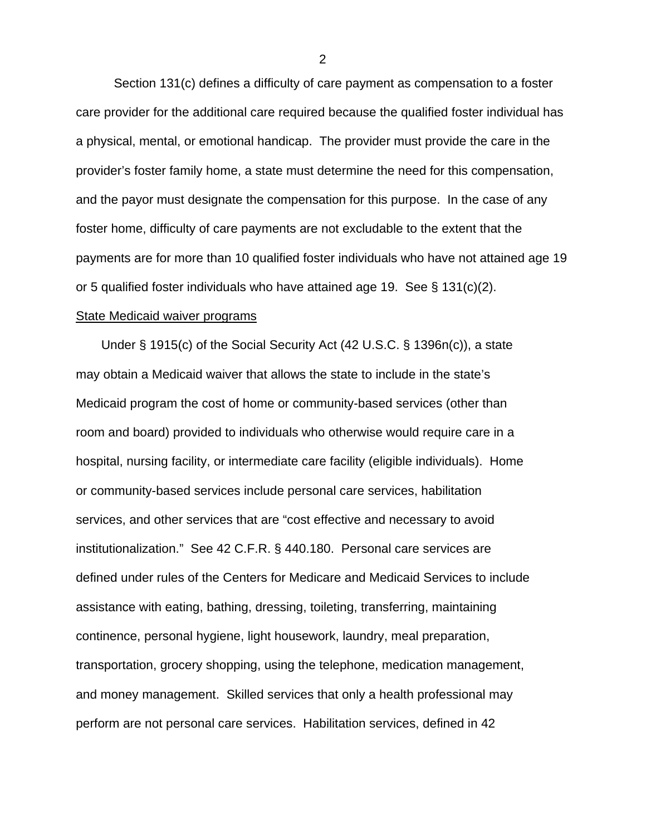Section 131(c) defines a difficulty of care payment as compensation to a foster care provider for the additional care required because the qualified foster individual has a physical, mental, or emotional handicap. The provider must provide the care in the provider's foster family home, a state must determine the need for this compensation, and the payor must designate the compensation for this purpose. In the case of any foster home, difficulty of care payments are not excludable to the extent that the payments are for more than 10 qualified foster individuals who have not attained age 19 or 5 qualified foster individuals who have attained age 19. See § 131(c)(2).

### State Medicaid waiver programs

Under § 1915(c) of the Social Security Act (42 U.S.C. § 1396n(c)), a state may obtain a Medicaid waiver that allows the state to include in the state's Medicaid program the cost of home or community-based services (other than room and board) provided to individuals who otherwise would require care in a hospital, nursing facility, or intermediate care facility (eligible individuals). Home or community-based services include personal care services, habilitation services, and other services that are "cost effective and necessary to avoid institutionalization." See 42 C.F.R. § 440.180. Personal care services are defined under rules of the Centers for Medicare and Medicaid Services to include assistance with eating, bathing, dressing, toileting, transferring, maintaining continence, personal hygiene, light housework, laundry, meal preparation, transportation, grocery shopping, using the telephone, medication management, and money management. Skilled services that only a health professional may perform are not personal care services. Habilitation services, defined in 42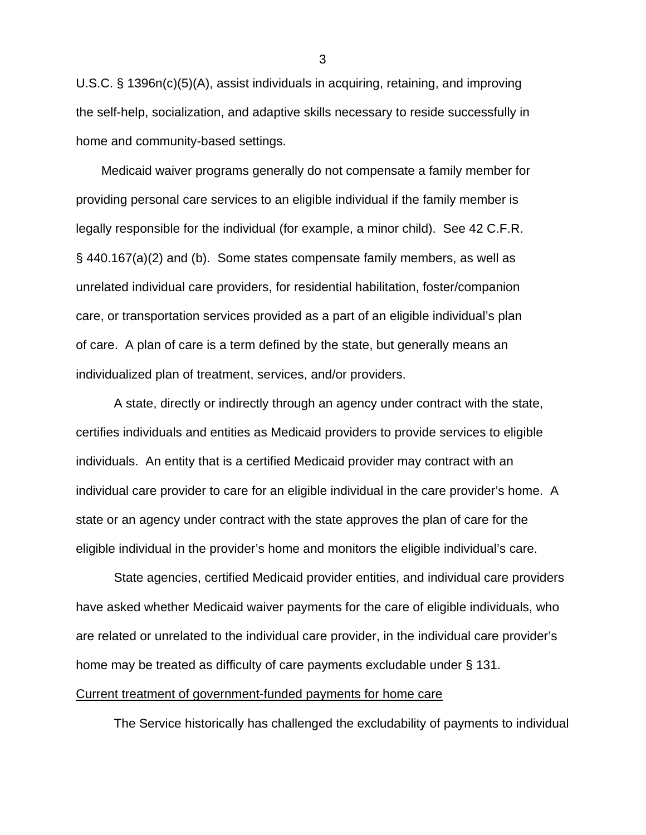U.S.C. § 1396n(c)(5)(A), assist individuals in acquiring, retaining, and improving the self-help, socialization, and adaptive skills necessary to reside successfully in home and community-based settings.

Medicaid waiver programs generally do not compensate a family member for providing personal care services to an eligible individual if the family member is legally responsible for the individual (for example, a minor child). See 42 C.F.R. § 440.167(a)(2) and (b). Some states compensate family members, as well as unrelated individual care providers, for residential habilitation, foster/companion care, or transportation services provided as a part of an eligible individual's plan of care. A plan of care is a term defined by the state, but generally means an individualized plan of treatment, services, and/or providers.

A state, directly or indirectly through an agency under contract with the state, certifies individuals and entities as Medicaid providers to provide services to eligible individuals. An entity that is a certified Medicaid provider may contract with an individual care provider to care for an eligible individual in the care provider's home. A state or an agency under contract with the state approves the plan of care for the eligible individual in the provider's home and monitors the eligible individual's care.

State agencies, certified Medicaid provider entities, and individual care providers have asked whether Medicaid waiver payments for the care of eligible individuals, who are related or unrelated to the individual care provider, in the individual care provider's home may be treated as difficulty of care payments excludable under § 131. Current treatment of government-funded payments for home care

The Service historically has challenged the excludability of payments to individual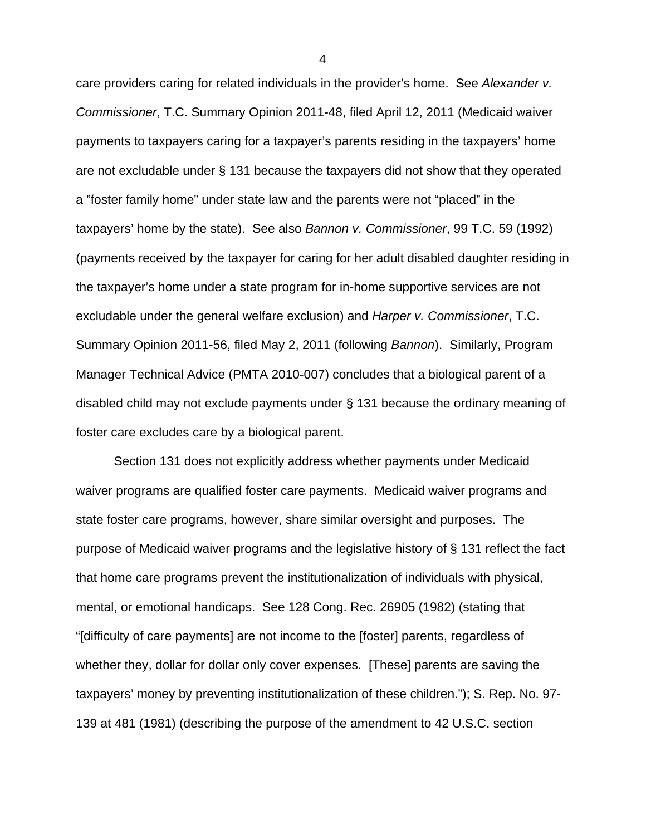care providers caring for related individuals in the provider's home. See *Alexander v. Commissioner*, T.C. Summary Opinion 2011-48, filed April 12, 2011 (Medicaid waiver payments to taxpayers caring for a taxpayer's parents residing in the taxpayers' home are not excludable under § 131 because the taxpayers did not show that they operated a "foster family home" under state law and the parents were not "placed" in the taxpayers' home by the state). See also *Bannon v. Commissioner*, 99 T.C. 59 (1992) (payments received by the taxpayer for caring for her adult disabled daughter residing in the taxpayer's home under a state program for in-home supportive services are not excludable under the general welfare exclusion) and *Harper v. Commissioner*, T.C. Summary Opinion 2011-56, filed May 2, 2011 (following *Bannon*). Similarly, Program Manager Technical Advice (PMTA 2010-007) concludes that a biological parent of a disabled child may not exclude payments under § 131 because the ordinary meaning of foster care excludes care by a biological parent.

Section 131 does not explicitly address whether payments under Medicaid waiver programs are qualified foster care payments. Medicaid waiver programs and state foster care programs, however, share similar oversight and purposes. The purpose of Medicaid waiver programs and the legislative history of § 131 reflect the fact that home care programs prevent the institutionalization of individuals with physical, mental, or emotional handicaps. See 128 Cong. Rec. 26905 (1982) (stating that "[difficulty of care payments] are not income to the [foster] parents, regardless of whether they, dollar for dollar only cover expenses. [These] parents are saving the taxpayers' money by preventing institutionalization of these children."); S. Rep. No. 97- 139 at 481 (1981) (describing the purpose of the amendment to 42 U.S.C. section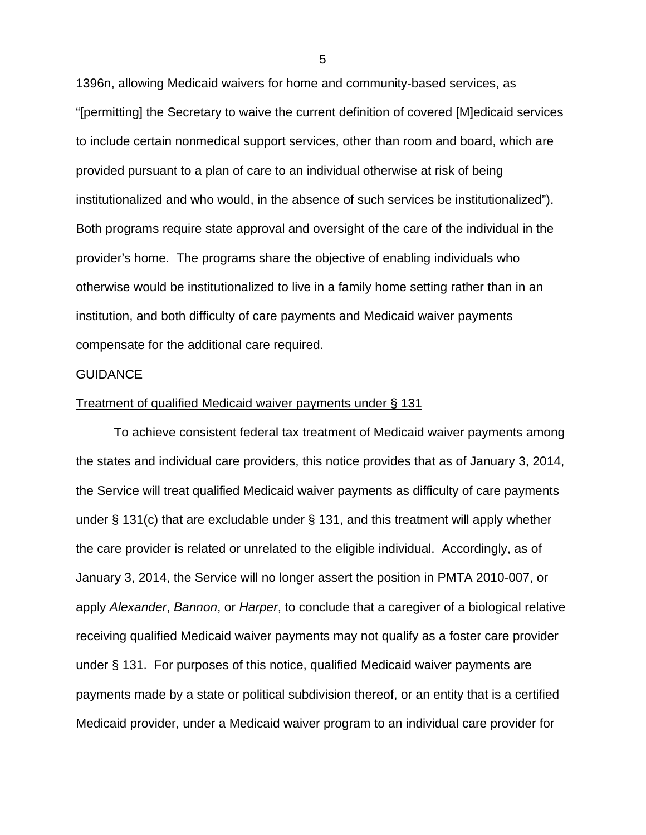1396n, allowing Medicaid waivers for home and community-based services, as "[permitting] the Secretary to waive the current definition of covered [M]edicaid services to include certain nonmedical support services, other than room and board, which are provided pursuant to a plan of care to an individual otherwise at risk of being institutionalized and who would, in the absence of such services be institutionalized"). Both programs require state approval and oversight of the care of the individual in the provider's home. The programs share the objective of enabling individuals who otherwise would be institutionalized to live in a family home setting rather than in an institution, and both difficulty of care payments and Medicaid waiver payments compensate for the additional care required.

#### **GUIDANCE**

### Treatment of qualified Medicaid waiver payments under § 131

To achieve consistent federal tax treatment of Medicaid waiver payments among the states and individual care providers, this notice provides that as of January 3, 2014, the Service will treat qualified Medicaid waiver payments as difficulty of care payments under § 131(c) that are excludable under § 131, and this treatment will apply whether the care provider is related or unrelated to the eligible individual. Accordingly, as of January 3, 2014, the Service will no longer assert the position in PMTA 2010-007, or apply *Alexander*, *Bannon*, or *Harper*, to conclude that a caregiver of a biological relative receiving qualified Medicaid waiver payments may not qualify as a foster care provider under § 131. For purposes of this notice, qualified Medicaid waiver payments are payments made by a state or political subdivision thereof, or an entity that is a certified Medicaid provider, under a Medicaid waiver program to an individual care provider for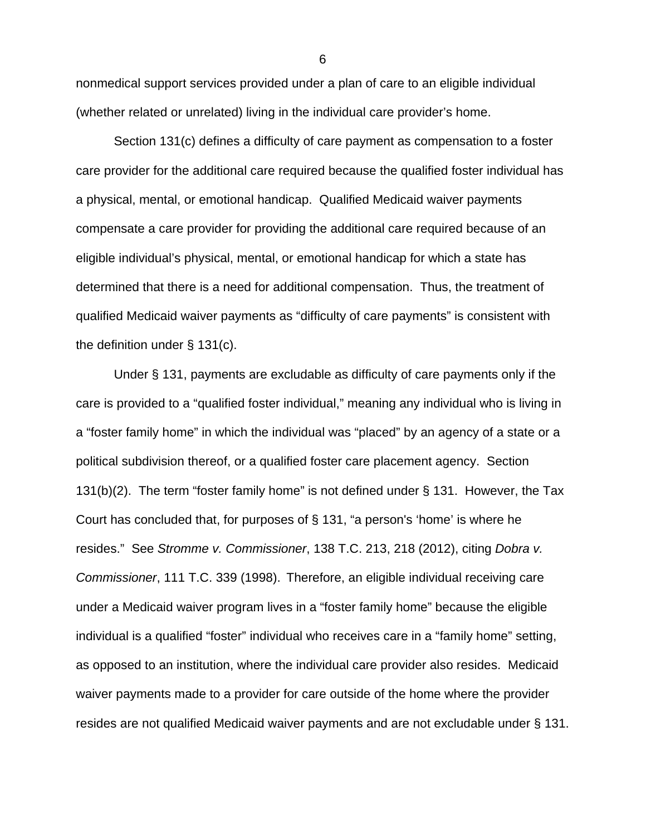nonmedical support services provided under a plan of care to an eligible individual (whether related or unrelated) living in the individual care provider's home.

Section 131(c) defines a difficulty of care payment as compensation to a foster care provider for the additional care required because the qualified foster individual has a physical, mental, or emotional handicap. Qualified Medicaid waiver payments compensate a care provider for providing the additional care required because of an eligible individual's physical, mental, or emotional handicap for which a state has determined that there is a need for additional compensation. Thus, the treatment of qualified Medicaid waiver payments as "difficulty of care payments" is consistent with the definition under § 131(c).

Under § 131, payments are excludable as difficulty of care payments only if the care is provided to a "qualified foster individual," meaning any individual who is living in a "foster family home" in which the individual was "placed" by an agency of a state or a political subdivision thereof, or a qualified foster care placement agency. Section 131(b)(2). The term "foster family home" is not defined under § 131. However, the Tax Court has concluded that, for purposes of § 131, "a person's 'home' is where he resides." See *Stromme v. Commissioner*, 138 T.C. 213, 218 (2012), citing *Dobra v. Commissioner*, 111 T.C. 339 (1998). Therefore, an eligible individual receiving care under a Medicaid waiver program lives in a "foster family home" because the eligible individual is a qualified "foster" individual who receives care in a "family home" setting, as opposed to an institution, where the individual care provider also resides. Medicaid waiver payments made to a provider for care outside of the home where the provider resides are not qualified Medicaid waiver payments and are not excludable under § 131.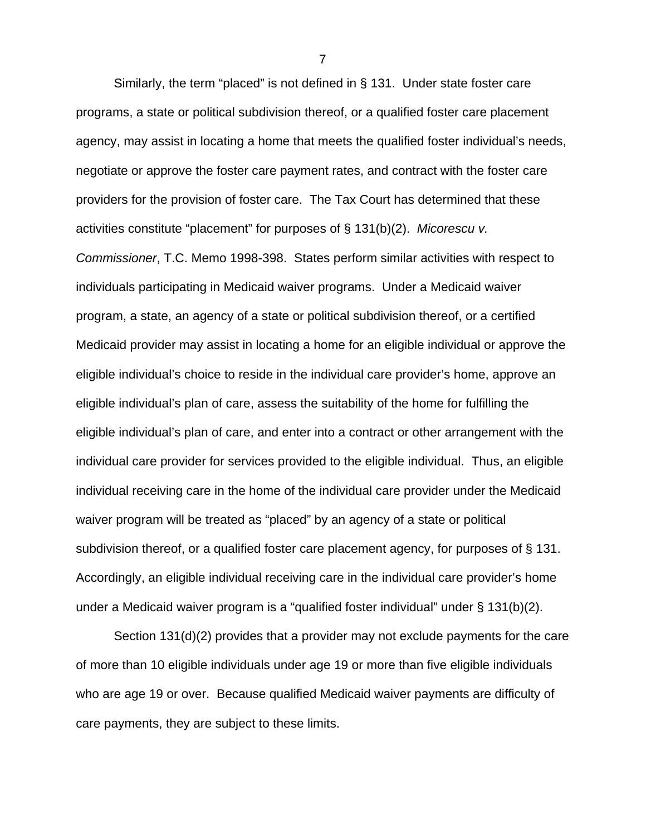Similarly, the term "placed" is not defined in § 131. Under state foster care programs, a state or political subdivision thereof, or a qualified foster care placement agency, may assist in locating a home that meets the qualified foster individual's needs, negotiate or approve the foster care payment rates, and contract with the foster care providers for the provision of foster care. The Tax Court has determined that these activities constitute "placement" for purposes of § 131(b)(2). *Micorescu v.* 

*Commissioner*, T.C. Memo 1998-398. States perform similar activities with respect to individuals participating in Medicaid waiver programs. Under a Medicaid waiver program, a state, an agency of a state or political subdivision thereof, or a certified Medicaid provider may assist in locating a home for an eligible individual or approve the eligible individual's choice to reside in the individual care provider's home, approve an eligible individual's plan of care, assess the suitability of the home for fulfilling the eligible individual's plan of care, and enter into a contract or other arrangement with the individual care provider for services provided to the eligible individual. Thus, an eligible individual receiving care in the home of the individual care provider under the Medicaid waiver program will be treated as "placed" by an agency of a state or political subdivision thereof, or a qualified foster care placement agency, for purposes of § 131. Accordingly, an eligible individual receiving care in the individual care provider's home under a Medicaid waiver program is a "qualified foster individual" under § 131(b)(2).

Section 131(d)(2) provides that a provider may not exclude payments for the care of more than 10 eligible individuals under age 19 or more than five eligible individuals who are age 19 or over. Because qualified Medicaid waiver payments are difficulty of care payments, they are subject to these limits.